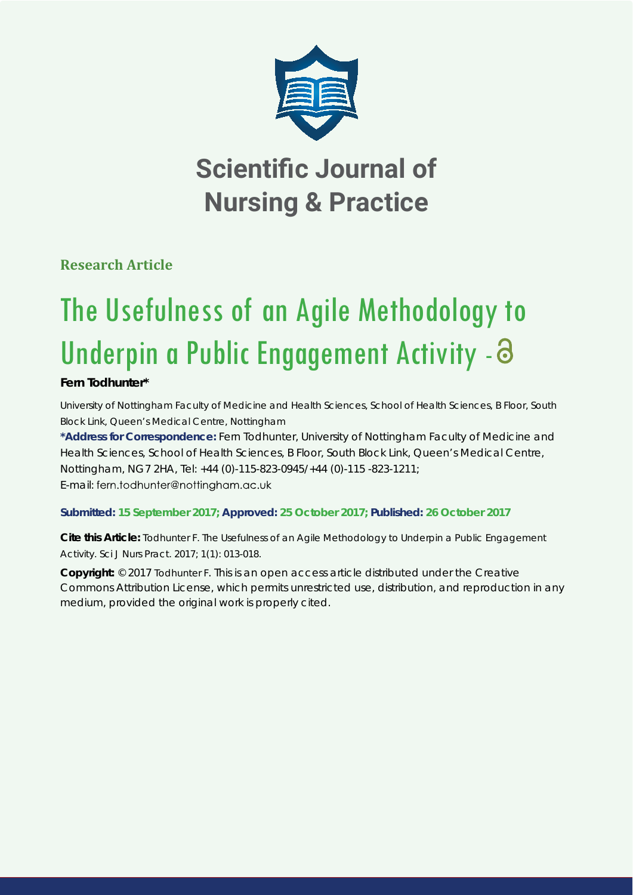

## **Scientific Journal of Nursing & Practice**

**Research Article**

# The Usefulness of an Agile Methodology to Underpin a Public Engagement Activity - 8

## **Fern Todhunter\***

*University of Nottingham Faculty of Medicine and Health Sciences, School of Health Sciences, B Floor, South Block Link, Queen's Medical Centre, Nottingham* 

**\*Address for Correspondence:** Fern Todhunter, University of Nottingham Faculty of Medicine and Health Sciences, School of Health Sciences, B Floor, South Block Link, Queen's Medical Centre, Nottingham, NG7 2HA, Tel: +44 (0)-115-823-0945/+44 (0)-115 -823-1211; E-mail: fern.todhunter@nottingham.gc.uk

### **Submitted: 15 September 2017; Approved: 25 October 2017; Published: 26 October 2017**

**Cite this Article:** Todhunter F. The Usefulness of an Agile Methodology to Underpin a Public Engagement Activity. Sci J Nurs Pract. 2017; 1(1): 013-018.

**Copyright:** © 2017 Todhunter F. This is an open access article distributed under the Creative Commons Attribution License, which permits unrestricted use, distribution, and reproduction in any medium, provided the original work is properly cited.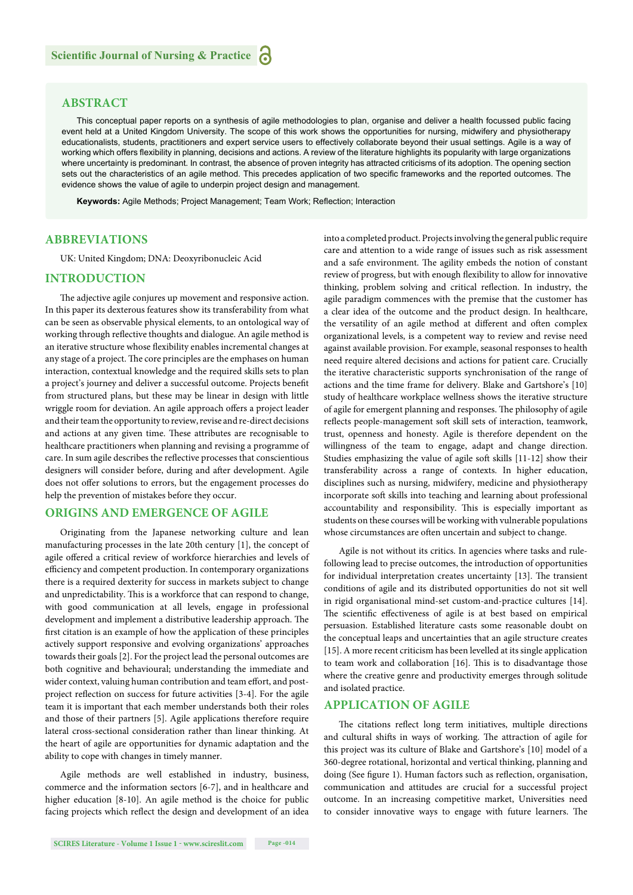#### **ABSTRACT**

This conceptual paper reports on a synthesis of agile methodologies to plan, organise and deliver a health focussed public facing event held at a United Kingdom University. The scope of this work shows the opportunities for nursing, midwifery and physiotherapy educationalists, students, practitioners and expert service users to effectively collaborate beyond their usual settings. Agile is a way of working which offers flexibility in planning, decisions and actions. A review of the literature highlights its popularity with large organizations where uncertainty is predominant. In contrast, the absence of proven integrity has attracted criticisms of its adoption. The opening section sets out the characteristics of an agile method. This precedes application of two specific frameworks and the reported outcomes. The evidence shows the value of agile to underpin project design and management.

Keywords: Agile Methods; Project Management; Team Work; Reflection; Interaction

#### **ABBREVIATIONS**

UK: United Kingdom; DNA: Deoxyribonucleic Acid

#### **INTRODUCTION**

The adjective agile conjures up movement and responsive action. In this paper its dexterous features show its transferability from what can be seen as observable physical elements, to an ontological way of working through reflective thoughts and dialogue. An agile method is an iterative structure whose flexibility enables incremental changes at any stage of a project. The core principles are the emphases on human interaction, contextual knowledge and the required skills sets to plan a project's journey and deliver a successful outcome. Projects benefit from structured plans, but these may be linear in design with little wriggle room for deviation. An agile approach offers a project leader and their team the opportunity to review, revise and re-direct decisions and actions at any given time. These attributes are recognisable to healthcare practitioners when planning and revising a programme of care. In sum agile describes the reflective processes that conscientious designers will consider before, during and after development. Agile does not offer solutions to errors, but the engagement processes do help the prevention of mistakes before they occur.

#### **ORIGINS AND EMERGENCE OF AGILE**

Originating from the Japanese networking culture and lean manufacturing processes in the late 20th century [1], the concept of agile offered a critical review of workforce hierarchies and levels of efficiency and competent production. In contemporary organizations there is a required dexterity for success in markets subject to change and unpredictability. This is a workforce that can respond to change, with good communication at all levels, engage in professional development and implement a distributive leadership approach. The first citation is an example of how the application of these principles actively support responsive and evolving organizations' approaches towards their goals [2]. For the project lead the personal outcomes are both cognitive and behavioural; understanding the immediate and wider context, valuing human contribution and team effort, and postproject reflection on success for future activities [3-4]. For the agile team it is important that each member understands both their roles and those of their partners [5]. Agile applications therefore require lateral cross-sectional consideration rather than linear thinking. At the heart of agile are opportunities for dynamic adaptation and the ability to cope with changes in timely manner.

Agile methods are well established in industry, business, commerce and the information sectors [6-7], and in healthcare and higher education [8-10]. An agile method is the choice for public facing projects which reflect the design and development of an idea into a completed product. Projects involving the general public require care and attention to a wide range of issues such as risk assessment and a safe environment. The agility embeds the notion of constant review of progress, but with enough flexibility to allow for innovative thinking, problem solving and critical reflection. In industry, the agile paradigm commences with the premise that the customer has a clear idea of the outcome and the product design. In healthcare, the versatility of an agile method at different and often complex organizational levels, is a competent way to review and revise need against available provision. For example, seasonal responses to health need require altered decisions and actions for patient care. Crucially the iterative characteristic supports synchronisation of the range of actions and the time frame for delivery. Blake and Gartshore's [10] study of healthcare workplace wellness shows the iterative structure of agile for emergent planning and responses. The philosophy of agile reflects people-management soft skill sets of interaction, teamwork, trust, openness and honesty. Agile is therefore dependent on the willingness of the team to engage, adapt and change direction. Studies emphasizing the value of agile soft skills [11-12] show their transferability across a range of contexts. In higher education, disciplines such as nursing, midwifery, medicine and physiotherapy incorporate soft skills into teaching and learning about professional accountability and responsibility. This is especially important as students on these courses will be working with vulnerable populations whose circumstances are often uncertain and subject to change.

Agile is not without its critics. In agencies where tasks and rulefollowing lead to precise outcomes, the introduction of opportunities for individual interpretation creates uncertainty [13]. The transient conditions of agile and its distributed opportunities do not sit well in rigid organisational mind-set custom-and-practice cultures [14]. The scientific effectiveness of agile is at best based on empirical persuasion. Established literature casts some reasonable doubt on the conceptual leaps and uncertainties that an agile structure creates [15]. A more recent criticism has been levelled at its single application to team work and collaboration [16]. This is to disadvantage those where the creative genre and productivity emerges through solitude and isolated practice.

#### **APPLICATION OF AGILE**

The citations reflect long term initiatives, multiple directions and cultural shifts in ways of working. The attraction of agile for this project was its culture of Blake and Gartshore's [10] model of a 360-degree rotational, horizontal and vertical thinking, planning and doing (See figure 1). Human factors such as reflection, organisation, communication and attitudes are crucial for a successful project outcome. In an increasing competitive market, Universities need to consider innovative ways to engage with future learners. The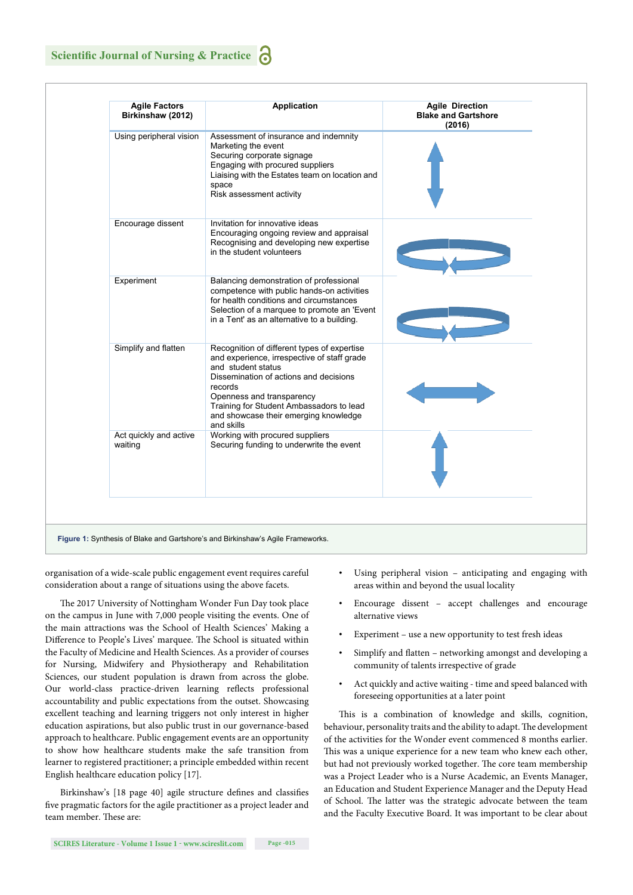| <b>Agile Factors</b><br>Birkinshaw (2012) | <b>Application</b>                                                                                                                                                                                                                                                                                    | <b>Agile Direction</b><br><b>Blake and Gartshore</b><br>(2016) |
|-------------------------------------------|-------------------------------------------------------------------------------------------------------------------------------------------------------------------------------------------------------------------------------------------------------------------------------------------------------|----------------------------------------------------------------|
| Using peripheral vision                   | Assessment of insurance and indemnity<br>Marketing the event<br>Securing corporate signage<br>Engaging with procured suppliers<br>Liaising with the Estates team on location and<br>space<br>Risk assessment activity                                                                                 |                                                                |
| Encourage dissent                         | Invitation for innovative ideas<br>Encouraging ongoing review and appraisal<br>Recognising and developing new expertise<br>in the student volunteers                                                                                                                                                  |                                                                |
| Experiment                                | Balancing demonstration of professional<br>competence with public hands-on activities<br>for health conditions and circumstances<br>Selection of a marquee to promote an 'Event<br>in a Tent' as an alternative to a building.                                                                        |                                                                |
| Simplify and flatten                      | Recognition of different types of expertise<br>and experience, irrespective of staff grade<br>and student status<br>Dissemination of actions and decisions<br>records<br>Openness and transparency<br>Training for Student Ambassadors to lead<br>and showcase their emerging knowledge<br>and skills |                                                                |
| Act quickly and active<br>waiting         | Working with procured suppliers<br>Securing funding to underwrite the event                                                                                                                                                                                                                           |                                                                |

organisation of a wide-scale public engagement event requires careful consideration about a range of situations using the above facets.

The 2017 University of Nottingham Wonder Fun Day took place on the campus in June with 7,000 people visiting the events. One of the main attractions was the School of Health Sciences' Making a Difference to People's Lives' marquee. The School is situated within the Faculty of Medicine and Health Sciences. As a provider of courses for Nursing, Midwifery and Physiotherapy and Rehabilitation Sciences, our student population is drawn from across the globe. Our world-class practice-driven learning reflects professional accountability and public expectations from the outset. Showcasing excellent teaching and learning triggers not only interest in higher education aspirations, but also public trust in our governance-based approach to healthcare. Public engagement events are an opportunity to show how healthcare students make the safe transition from learner to registered practitioner; a principle embedded within recent English healthcare education policy [17].

Birkinshaw's [18 page 40] agile structure defines and classifies five pragmatic factors for the agile practitioner as a project leader and team member. These are:

- Using peripheral vision anticipating and engaging with areas within and beyond the usual locality
- Encourage dissent accept challenges and encourage alternative views
- Experiment use a new opportunity to test fresh ideas
- Simplify and flatten networking amongst and developing a community of talents irrespective of grade
- Act quickly and active waiting time and speed balanced with foreseeing opportunities at a later point

This is a combination of knowledge and skills, cognition, behaviour, personality traits and the ability to adapt. The development of the activities for the Wonder event commenced 8 months earlier. This was a unique experience for a new team who knew each other, but had not previously worked together. The core team membership was a Project Leader who is a Nurse Academic, an Events Manager, an Education and Student Experience Manager and the Deputy Head of School. The latter was the strategic advocate between the team and the Faculty Executive Board. It was important to be clear about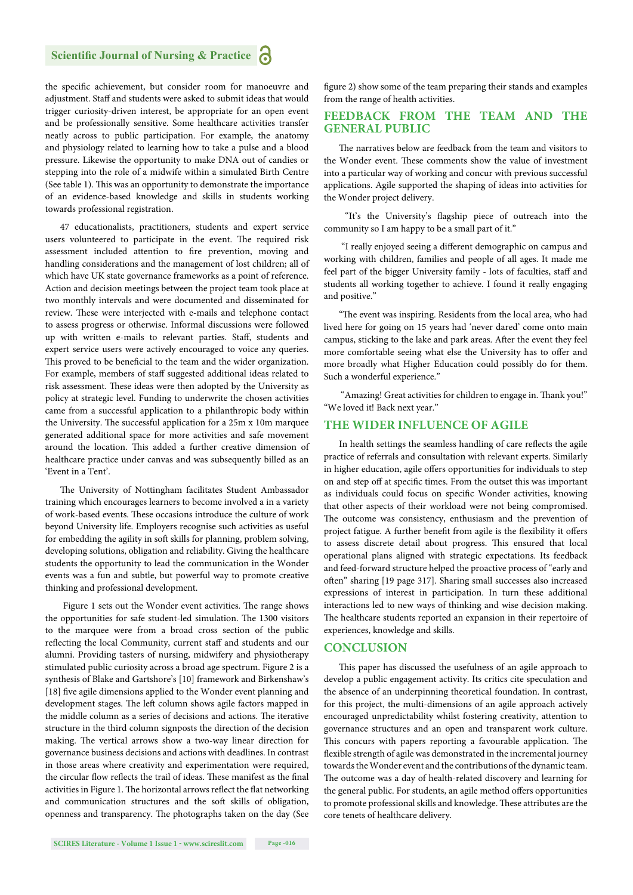the specific achievement, but consider room for manoeuvre and adjustment. Staff and students were asked to submit ideas that would trigger curiosity-driven interest, be appropriate for an open event and be professionally sensitive. Some healthcare activities transfer neatly across to public participation. For example, the anatomy and physiology related to learning how to take a pulse and a blood pressure. Likewise the opportunity to make DNA out of candies or stepping into the role of a midwife within a simulated Birth Centre (See table 1). This was an opportunity to demonstrate the importance of an evidence-based knowledge and skills in students working towards professional registration.

47 educationalists, practitioners, students and expert service users volunteered to participate in the event. The required risk assessment included attention to fire prevention, moving and handling considerations and the management of lost children; all of which have UK state governance frameworks as a point of reference. Action and decision meetings between the project team took place at two monthly intervals and were documented and disseminated for review. These were interjected with e-mails and telephone contact to assess progress or otherwise. Informal discussions were followed up with written e-mails to relevant parties. Staff, students and expert service users were actively encouraged to voice any queries. This proved to be beneficial to the team and the wider organization. For example, members of staff suggested additional ideas related to risk assessment. These ideas were then adopted by the University as policy at strategic level. Funding to underwrite the chosen activities came from a successful application to a philanthropic body within the University. The successful application for a 25m x 10m marquee generated additional space for more activities and safe movement around the location. This added a further creative dimension of healthcare practice under canvas and was subsequently billed as an 'Event in a Tent'.

The University of Nottingham facilitates Student Ambassador training which encourages learners to become involved a in a variety of work-based events. These occasions introduce the culture of work beyond University life. Employers recognise such activities as useful for embedding the agility in soft skills for planning, problem solving, developing solutions, obligation and reliability. Giving the healthcare students the opportunity to lead the communication in the Wonder events was a fun and subtle, but powerful way to promote creative thinking and professional development.

Figure 1 sets out the Wonder event activities. The range shows the opportunities for safe student-led simulation. The 1300 visitors to the marquee were from a broad cross section of the public reflecting the local Community, current staff and students and our alumni. Providing tasters of nursing, midwifery and physiotherapy stimulated public curiosity across a broad age spectrum. Figure 2 is a synthesis of Blake and Gartshore's [10] framework and Birkenshaw's [18] five agile dimensions applied to the Wonder event planning and development stages. The left column shows agile factors mapped in the middle column as a series of decisions and actions. The iterative structure in the third column signposts the direction of the decision making. The vertical arrows show a two-way linear direction for governance business decisions and actions with deadlines. In contrast in those areas where creativity and experimentation were required, the circular flow reflects the trail of ideas. These manifest as the final activities in Figure 1. The horizontal arrows reflect the flat networking and communication structures and the soft skills of obligation, openness and transparency. The photographs taken on the day (See

figure 2) show some of the team preparing their stands and examples from the range of health activities.

#### **FEEDBACK FROM THE TEAM AND THE GENERAL PUBLIC**

The narratives below are feedback from the team and visitors to the Wonder event. These comments show the value of investment into a particular way of working and concur with previous successful applications. Agile supported the shaping of ideas into activities for the Wonder project delivery.

"It's the University's flagship piece of outreach into the community so I am happy to be a small part of it."

"I really enjoyed seeing a different demographic on campus and working with children, families and people of all ages. It made me feel part of the bigger University family - lots of faculties, staff and students all working together to achieve. I found it really engaging and positive."

"The event was inspiring. Residents from the local area, who had lived here for going on 15 years had 'never dared' come onto main campus, sticking to the lake and park areas. After the event they feel more comfortable seeing what else the University has to offer and more broadly what Higher Education could possibly do for them. Such a wonderful experience."

"Amazing! Great activities for children to engage in. Thank you!" "We loved it! Back next year."

#### **THE WIDER INFLUENCE OF AGILE**

In health settings the seamless handling of care reflects the agile practice of referrals and consultation with relevant experts. Similarly in higher education, agile offers opportunities for individuals to step on and step off at specific times. From the outset this was important as individuals could focus on specific Wonder activities, knowing that other aspects of their workload were not being compromised. The outcome was consistency, enthusiasm and the prevention of project fatigue. A further benefit from agile is the flexibility it offers to assess discrete detail about progress. This ensured that local operational plans aligned with strategic expectations. Its feedback and feed-forward structure helped the proactive process of "early and often" sharing [19 page 317]. Sharing small successes also increased expressions of interest in participation. In turn these additional interactions led to new ways of thinking and wise decision making. The healthcare students reported an expansion in their repertoire of experiences, knowledge and skills.

#### **CONCLUSION**

This paper has discussed the usefulness of an agile approach to develop a public engagement activity. Its critics cite speculation and the absence of an underpinning theoretical foundation. In contrast, for this project, the multi-dimensions of an agile approach actively encouraged unpredictability whilst fostering creativity, attention to governance structures and an open and transparent work culture. This concurs with papers reporting a favourable application. The flexible strength of agile was demonstrated in the incremental journey towards the Wonder event and the contributions of the dynamic team. The outcome was a day of health-related discovery and learning for the general public. For students, an agile method offers opportunities to promote professional skills and knowledge. These attributes are the core tenets of healthcare delivery.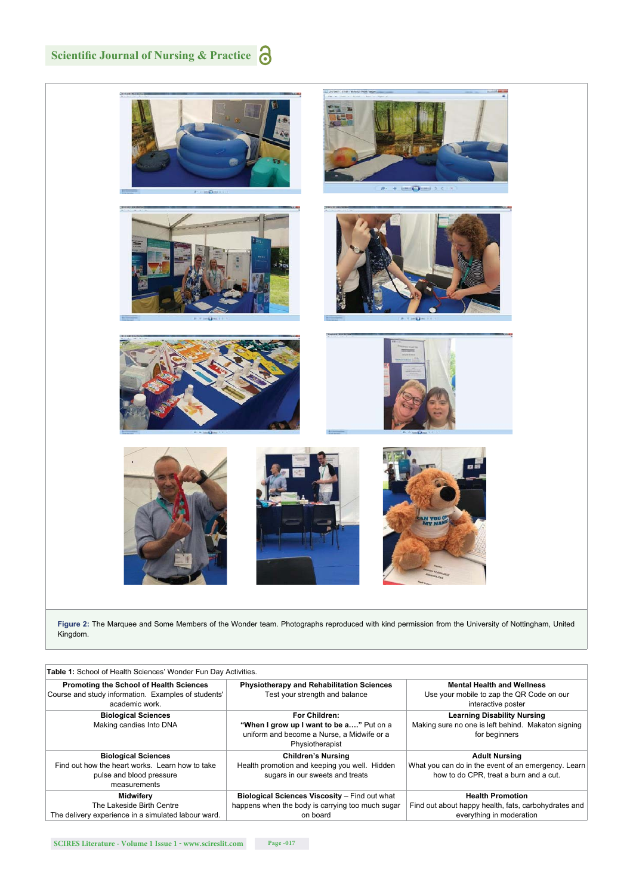## **Scientific Journal of Nursing & Practice**  $\bigodot$



**Figure 2:** The Marquee and Some Members of the Wonder team. Photographs reproduced with kind permission from the University of Nottingham, United Kingdom.

| Table 1: School of Health Sciences' Wonder Fun Day Activities.                                                            |                                                                                                                            |                                                                                                                       |  |  |
|---------------------------------------------------------------------------------------------------------------------------|----------------------------------------------------------------------------------------------------------------------------|-----------------------------------------------------------------------------------------------------------------------|--|--|
| <b>Promoting the School of Health Sciences</b><br>Course and study information. Examples of students'<br>academic work.   | <b>Physiotherapy and Rehabilitation Sciences</b><br>Test your strength and balance                                         | <b>Mental Health and Wellness</b><br>Use your mobile to zap the QR Code on our<br>interactive poster                  |  |  |
| <b>Biological Sciences</b><br>Making candies Into DNA                                                                     | For Children:<br>"When I grow up I want to be a" Put on a<br>uniform and become a Nurse, a Midwife or a<br>Physiotherapist | <b>Learning Disability Nursing</b><br>Making sure no one is left behind. Makaton signing<br>for beginners             |  |  |
| <b>Biological Sciences</b><br>Find out how the heart works. Learn how to take<br>pulse and blood pressure<br>measurements | <b>Children's Nursing</b><br>Health promotion and keeping you well. Hidden<br>sugars in our sweets and treats              | <b>Adult Nursing</b><br>What you can do in the event of an emergency. Learn<br>how to do CPR, treat a burn and a cut. |  |  |
| Midwifery<br>The Lakeside Birth Centre<br>The delivery experience in a simulated labour ward.                             | Biological Sciences Viscosity - Find out what<br>happens when the body is carrying too much sugar<br>on board              | <b>Health Promotion</b><br>Find out about happy health, fats, carbohydrates and<br>everything in moderation           |  |  |